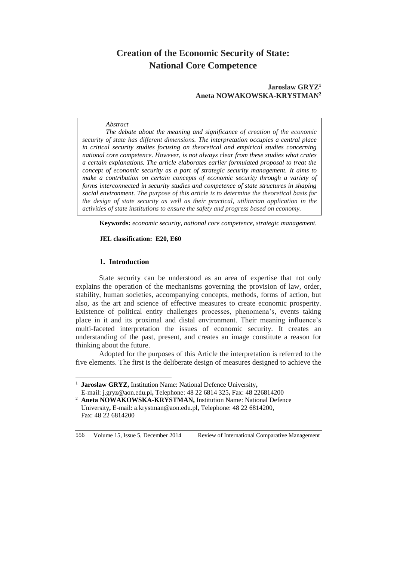# **Creation of the Economic Security of State: National Core Competence**

# **Jaroslaw GRYZ<sup>1</sup> Aneta NOWAKOWSKA-KRYSTMAN<sup>2</sup>**

#### *Abstract*

*The debate about the meaning and significance of creation of the economic security of state has different dimensions. The interpretation occupies a central place in critical security studies focusing on theoretical and empirical studies concerning national core competence. However, is not always clear from these studies what crates a certain explanations. The article elaborates earlier formulated proposal to treat the concept of economic security as a part of strategic security management. It aims to make a contribution on certain concepts of economic security through a variety of forms interconnected in security studies and competence of state structures in shaping social environment. The purpose of this article is to determine the theoretical basis for the design of state security as well as their practical, utilitarian application in the activities of state institutions to ensure the safety and progress based on economy.*

**Keywords:** *economic security, national core competence, strategic management.*

## **JEL classification: E20, E60**

#### **1. Introduction**

State security can be understood as an area of expertise that not only explains the operation of the mechanisms governing the provision of law, order, stability, human societies, accompanying concepts, methods, forms of action, but also, as the art and science of effective measures to create economic prosperity. Existence of political entity challenges processes, phenomena's, events taking place in it and its proximal and distal environment. Their meaning influence's multi-faceted interpretation the issues of economic security. It creates an understanding of the past, present, and creates an image constitute a reason for thinking about the future.

Adopted for the purposes of this Article the interpretation is referred to the five elements. The first is the deliberate design of measures designed to achieve the

<sup>1</sup> **Jaroslaw GRYZ,** Institution Name: National Defence University**,**  E-mail: [j.gryz@aon.edu.pl](mailto:j.gryz@aon.edu.pl)**,** Telephone: 48 22 6814 325**,** Fax: 48 226814200

 $\overline{a}$ 

<sup>&</sup>lt;sup>2</sup> **Aneta NOWAKOWSKA-KRYSTMAN, Institution Name: National Defence** University**,** E-mail: [a.krystman@aon.edu.pl](mailto:a.krystman@aon.edu.pl)**,** Telephone: 48 22 6814200**,**  Fax: 48 22 6814200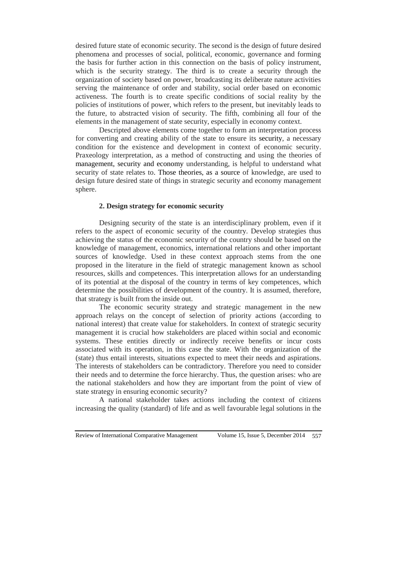desired future state of economic security. The second is the design of future desired phenomena and processes of social, political, economic, governance and forming the basis for further action in this connection on the basis of policy instrument, which is the security strategy. The third is to create a security through the organization of society based on power, broadcasting its deliberate nature activities serving the maintenance of order and stability, social order based on economic activeness. The fourth is to create specific conditions of social reality by the policies of institutions of power, which refers to the present, but inevitably leads to the future, to abstracted vision of security. The fifth, combining all four of the elements in the management of state security, especially in economy context.

Descripted above elements come together to form an interpretation process for converting and creating ability of the state to ensure its security, a necessary condition for the existence and development in context of economic security. Praxeology interpretation, as a method of constructing and using the theories of management, security and economy understanding, is helpful to understand what security of state relates to. Those theories, as a source of knowledge, are used to design future desired state of things in strategic security and economy management sphere.

## **2. Design strategy for economic security**

Designing security of the state is an interdisciplinary problem, even if it refers to the aspect of economic security of the country. Develop strategies thus achieving the status of the economic security of the country should be based on the knowledge of management, economics, international relations and other important sources of knowledge. Used in these context approach stems from the one proposed in the literature in the field of strategic management known as school resources, skills and competences. This interpretation allows for an understanding of its potential at the disposal of the country in terms of key competences, which determine the possibilities of development of the country. It is assumed, therefore, that strategy is built from the inside out.

The economic security strategy and strategic management in the new approach relays on the concept of selection of priority actions (according to national interest) that create value for stakeholders. In context of strategic security management it is crucial how stakeholders are placed within social and economic systems. These entities directly or indirectly receive benefits or incur costs associated with its operation, in this case the state. With the organization of the (state) thus entail interests, situations expected to meet their needs and aspirations. The interests of stakeholders can be contradictory. Therefore you need to consider their needs and to determine the force hierarchy. Thus, the question arises: who are the national stakeholders and how they are important from the point of view of state strategy in ensuring economic security?

A national stakeholder takes actions including the context of citizens increasing the quality (standard) of life and as well favourable legal solutions in the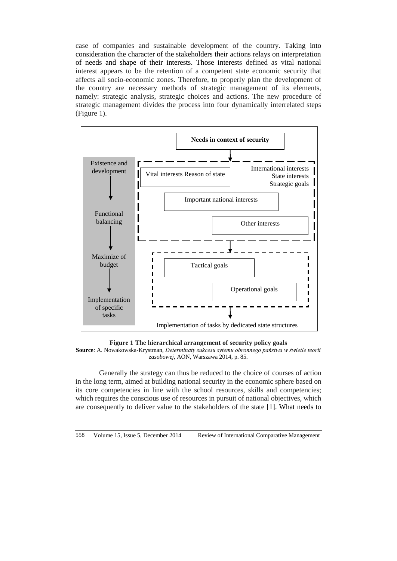case of companies and sustainable development of the country. Taking into consideration the character of the stakeholders their actions relays on interpretation of needs and shape of their interests. Those interests defined as vital national interest appears to be the retention of a competent state economic security that affects all socio-economic zones. Therefore, to properly plan the development of the country are necessary methods of strategic management of its elements, namely: strategic analysis, strategic choices and actions. The new procedure of strategic management divides the process into four dynamically interrelated steps (Figure 1).



**Figure 1 The hierarchical arrangement of security policy goals Source**: A. Nowakowska-Krystman, *Determinaty sukcesu sytemu obronnego państwa w świetle teorii zasobowej,* AON, Warszawa 2014, p. 85.

Generally the strategy can thus be reduced to the choice of courses of action in the long term, aimed at building national security in the economic sphere based on its core competencies in line with the school resources, skills and competencies; which requires the conscious use of resources in pursuit of national objectives, which are consequently to deliver value to the stakeholders of the state [1]. What needs to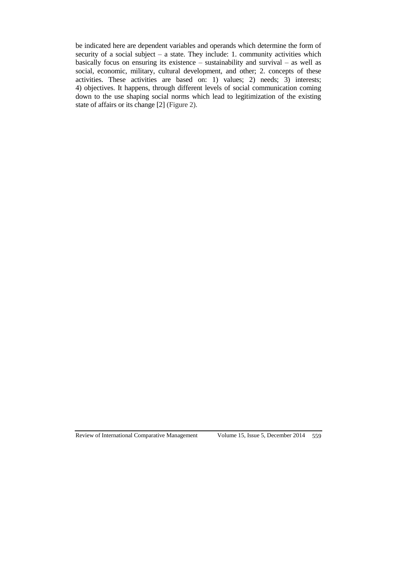be indicated here are dependent variables and operands which determine the form of security of a social subject – a state. They include: 1. community activities which basically focus on ensuring its existence – sustainability and survival – as well as social, economic, military, cultural development, and other; 2. concepts of these activities. These activities are based on: 1) values; 2) needs; 3) interests; 4) objectives. It happens, through different levels of social communication coming down to the use shaping social norms which lead to legitimization of the existing state of affairs or its change [2] (Figure 2).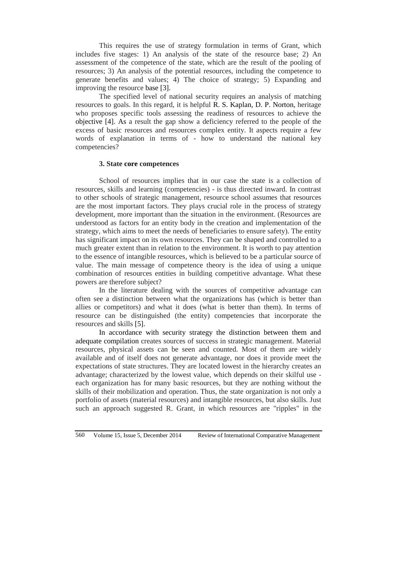This requires the use of strategy formulation in terms of Grant, which includes five stages: 1) An analysis of the state of the resource base; 2) An assessment of the competence of the state, which are the result of the pooling of resources; 3) An analysis of the potential resources, including the competence to generate benefits and values; 4) The choice of strategy; 5) Expanding and improving the resource base [3].

The specified level of national security requires an analysis of matching resources to goals. In this regard, it is helpful R. S. Kaplan, D. P. Norton, heritage who proposes specific tools assessing the readiness of resources to achieve the objective [4]. As a result the gap show a deficiency referred to the people of the excess of basic resources and resources complex entity. It aspects require a few words of explanation in terms of - how to understand the national key competencies?

#### **3. State core competences**

School of resources implies that in our case the state is a collection of resources, skills and learning (competencies) - is thus directed inward. In contrast to other schools of strategic management, resource school assumes that resources are the most important factors. They plays crucial role in the process of strategy development, more important than the situation in the environment. (Resources are understood as factors for an entity body in the creation and implementation of the strategy, which aims to meet the needs of beneficiaries to ensure safety). The entity has significant impact on its own resources. They can be shaped and controlled to a much greater extent than in relation to the environment. It is worth to pay attention to the essence of intangible resources, which is believed to be a particular source of value. The main message of competence theory is the idea of using a unique combination of resources entities in building competitive advantage. What these powers are therefore subject?

In the literature dealing with the sources of competitive advantage can often see a distinction between what the organizations has (which is better than allies or competitors) and what it does (what is better than them). In terms of resource can be distinguished (the entity) competencies that incorporate the resources and skills [5].

In accordance with security strategy the distinction between them and adequate compilation creates sources of success in strategic management. Material resources, physical assets can be seen and counted. Most of them are widely available and of itself does not generate advantage, nor does it provide meet the expectations of state structures. They are located lowest in the hierarchy creates an advantage; characterized by the lowest value, which depends on their skilful use each organization has for many basic resources, but they are nothing without the skills of their mobilization and operation. Thus, the state organization is not only a portfolio of assets (material resources) and intangible resources, but also skills. Just such an approach suggested R. Grant, in which resources are "ripples" in the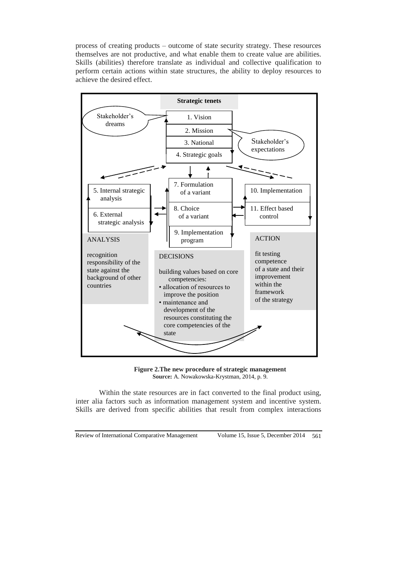process of creating products – outcome of state security strategy. These resources themselves are not productive, and what enable them to create value are abilities. Skills (abilities) therefore translate as individual and collective qualification to perform certain actions within state structures, the ability to deploy resources to achieve the desired effect.



**Figure 2.The new procedure of strategic management Source:** A. Nowakowska-Krystman, 2014, p. 9.

Within the state resources are in fact converted to the final product using, inter alia factors such as information management system and incentive system. Skills are derived from specific abilities that result from complex interactions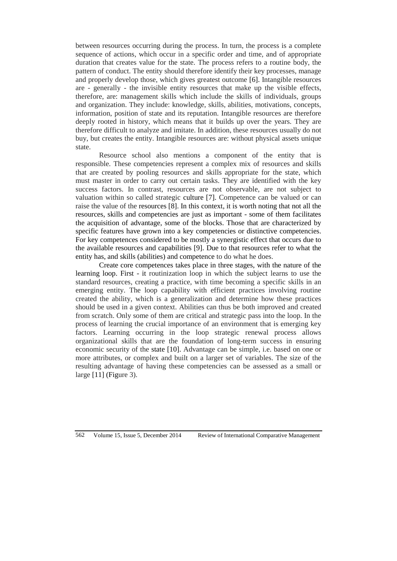between resources occurring during the process. In turn, the process is a complete sequence of actions, which occur in a specific order and time, and of appropriate duration that creates value for the state. The process refers to a routine body, the pattern of conduct. The entity should therefore identify their key processes, manage and properly develop those, which gives greatest outcome [6]. Intangible resources are - generally - the invisible entity resources that make up the visible effects, therefore, are: management skills which include the skills of individuals, groups and organization. They include: knowledge, skills, abilities, motivations, concepts, information, position of state and its reputation. Intangible resources are therefore deeply rooted in history, which means that it builds up over the years. They are therefore difficult to analyze and imitate. In addition, these resources usually do not buy, but creates the entity. Intangible resources are: without physical assets unique state.

Resource school also mentions a component of the entity that is responsible. These competencies represent a complex mix of resources and skills that are created by pooling resources and skills appropriate for the state, which must master in order to carry out certain tasks. They are identified with the key success factors. In contrast, resources are not observable, are not subject to valuation within so called strategic culture [7]. Competence can be valued or can raise the value of the resources [8]. In this context, it is worth noting that not all the resources, skills and competencies are just as important - some of them facilitates the acquisition of advantage, some of the blocks. Those that are characterized by specific features have grown into a key competencies or distinctive competencies. For key competences considered to be mostly a synergistic effect that occurs due to the available resources and capabilities [9]. Due to that resources refer to what the entity has, and skills (abilities) and competence to do what he does.

Create core competences takes place in three stages, with the nature of the learning loop. First - it routinization loop in which the subject learns to use the standard resources, creating a practice, with time becoming a specific skills in an emerging entity. The loop capability with efficient practices involving routine created the ability, which is a generalization and determine how these practices should be used in a given context. Abilities can thus be both improved and created from scratch. Only some of them are critical and strategic pass into the loop. In the process of learning the crucial importance of an environment that is emerging key factors. Learning occurring in the loop strategic renewal process allows organizational skills that are the foundation of long-term success in ensuring economic security of the state [10]. Advantage can be simple, i.e. based on one or more attributes, or complex and built on a larger set of variables. The size of the resulting advantage of having these competencies can be assessed as a small or large [11] (Figure 3).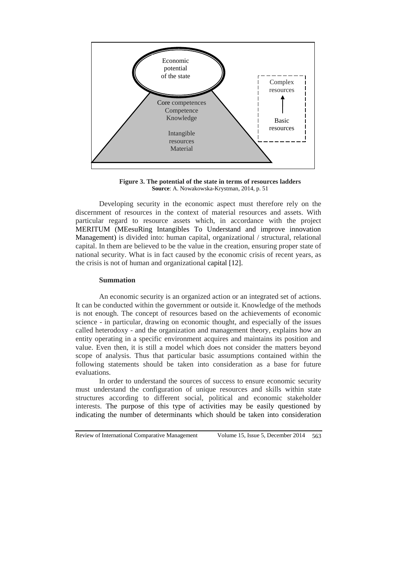

**Figure 3. The potential of the state in terms of resources ladders Source**: A. Nowakowska-Krystman, 2014, p. 51

Developing security in the economic aspect must therefore rely on the discernment of resources in the context of material resources and assets. With particular regard to resource assets which, in accordance with the project MERITUM (MEesuRing Intangibles To Understand and improve innovation Management) is divided into: human capital, organizational / structural, relational capital. In them are believed to be the value in the creation, ensuring proper state of national security. What is in fact caused by the economic crisis of recent years, as the crisis is not of human and organizational capital [12].

#### **Summation**

An economic security is an organized action or an integrated set of actions. It can be conducted within the government or outside it. Knowledge of the methods is not enough. The concept of resources based on the achievements of economic science - in particular, drawing on economic thought, and especially of the issues called heterodoxy - and the organization and management theory, explains how an entity operating in a specific environment acquires and maintains its position and value. Even then, it is still a model which does not consider the matters beyond scope of analysis. Thus that particular basic assumptions contained within the following statements should be taken into consideration as a base for future evaluations.

In order to understand the sources of success to ensure economic security must understand the configuration of unique resources and skills within state structures according to different social, political and economic stakeholder interests. The purpose of this type of activities may be easily questioned by indicating the number of determinants which should be taken into consideration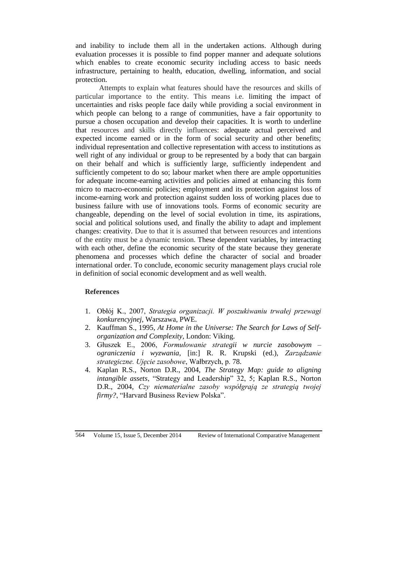and inability to include them all in the undertaken actions. Although during evaluation processes it is possible to find popper manner and adequate solutions which enables to create economic security including access to basic needs infrastructure, pertaining to health, education, dwelling, information, and social protection.

Attempts to explain what features should have the resources and skills of particular importance to the entity. This means i.e. limiting the impact of uncertainties and risks people face daily while providing a social environment in which people can belong to a range of communities, have a fair opportunity to pursue a chosen occupation and develop their capacities. It is worth to underline that resources and skills directly influences: adequate actual perceived and expected income earned or in the form of social security and other benefits; individual representation and collective representation with access to institutions as well right of any individual or group to be represented by a body that can bargain on their behalf and which is sufficiently large, sufficiently independent and sufficiently competent to do so; labour market when there are ample opportunities for adequate income-earning activities and policies aimed at enhancing this form micro to macro-economic policies; employment and its protection against loss of income-earning work and protection against sudden loss of working places due to business failure with use of innovations tools. Forms of economic security are changeable, depending on the level of social evolution in time, its aspirations, social and political solutions used, and finally the ability to adapt and implement changes: creativity. Due to that it is assumed that between resources and intentions of the entity must be a dynamic tension. These dependent variables, by interacting with each other, define the economic security of the state because they generate phenomena and processes which define the character of social and broader international order. To conclude, economic security management plays crucial role in definition of social economic development and as well wealth.

# **References**

- 1. Obłój K., 2007, *Strategia organizacji. W poszukiwaniu trwałej przewagi konkurencyjnej*, Warszawa, PWE.
- 2. Kauffman S., 1995, *At Home in the Universe: The Search for Laws of Selforganization and Complexity,* London: Viking.
- 3. Głuszek E., 2006, *Formułowanie strategii w nurcie zasobowym – ograniczenia i wyzwania*, [in:] R. R. Krupski (ed.), *Zarządzanie strategiczne. Ujęcie zasobowe*, Wałbrzych, p. 78.
- 4. Kaplan R.S., Norton D.R., 2004, *The Strategy Map: guide to aligning intangible assets*, "Strategy and Leadership" 32, 5; Kaplan R.S., Norton D.R., 2004, *Czy niematerialne zasoby współgrają ze strategią twojej firmy?*, "Harvard Business Review Polska".